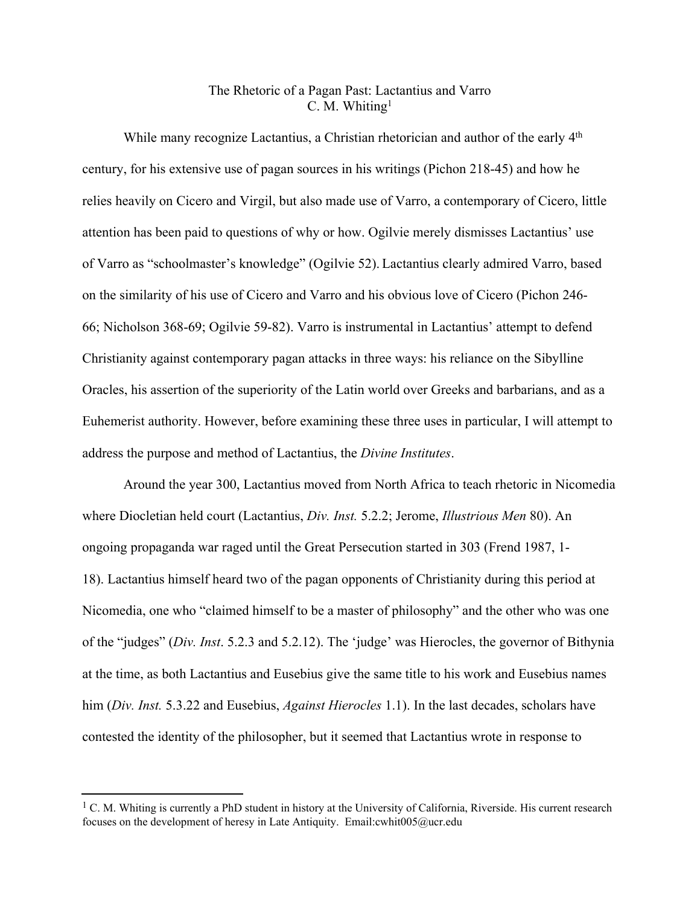## The Rhetoric of a Pagan Past: Lactantius and Varro C. M. Whiting<sup>1</sup>

While many recognize Lactantius, a Christian rhetorician and author of the early 4<sup>th</sup> century, for his extensive use of pagan sources in his writings (Pichon 218-45) and how he relies heavily on Cicero and Virgil, but also made use of Varro, a contemporary of Cicero, little attention has been paid to questions of why or how. Ogilvie merely dismisses Lactantius' use of Varro as "schoolmaster's knowledge" (Ogilvie 52). Lactantius clearly admired Varro, based on the similarity of his use of Cicero and Varro and his obvious love of Cicero (Pichon 246- 66; Nicholson 368-69; Ogilvie 59-82). Varro is instrumental in Lactantius' attempt to defend Christianity against contemporary pagan attacks in three ways: his reliance on the Sibylline Oracles, his assertion of the superiority of the Latin world over Greeks and barbarians, and as a Euhemerist authority. However, before examining these three uses in particular, I will attempt to address the purpose and method of Lactantius, the *Divine Institutes*.

Around the year 300, Lactantius moved from North Africa to teach rhetoric in Nicomedia where Diocletian held court (Lactantius, *Div. Inst.* 5.2.2; Jerome, *Illustrious Men* 80). An ongoing propaganda war raged until the Great Persecution started in 303 (Frend 1987, 1- 18). Lactantius himself heard two of the pagan opponents of Christianity during this period at Nicomedia, one who "claimed himself to be a master of philosophy" and the other who was one of the "judges" (*Div. Inst*. 5.2.3 and 5.2.12). The 'judge' was Hierocles, the governor of Bithynia at the time, as both Lactantius and Eusebius give the same title to his work and Eusebius names him (*Div. Inst.* 5.3.22 and Eusebius, *Against Hierocles* 1.1). In the last decades, scholars have contested the identity of the philosopher, but it seemed that Lactantius wrote in response to

<sup>&</sup>lt;sup>1</sup> C. M. Whiting is currently a PhD student in history at the University of California, Riverside. His current research focuses on the development of heresy in Late Antiquity. Email:cwhit005@ucr.edu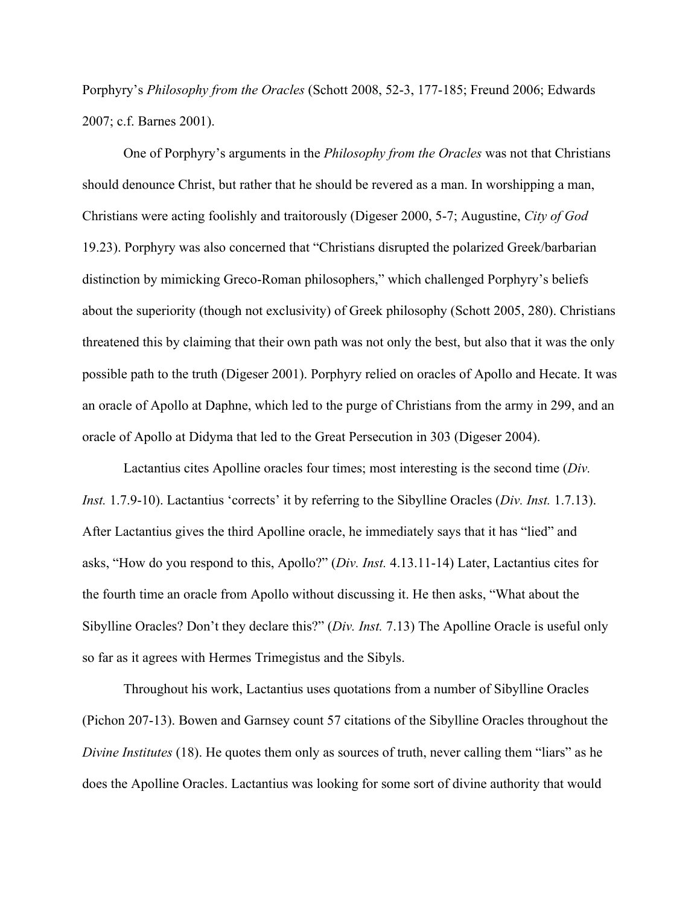Porphyry's *Philosophy from the Oracles* (Schott 2008, 52-3, 177-185; Freund 2006; Edwards 2007; c.f. Barnes 2001).

One of Porphyry's arguments in the *Philosophy from the Oracles* was not that Christians should denounce Christ, but rather that he should be revered as a man. In worshipping a man, Christians were acting foolishly and traitorously (Digeser 2000, 5-7; Augustine, *City of God* 19.23). Porphyry was also concerned that "Christians disrupted the polarized Greek/barbarian distinction by mimicking Greco-Roman philosophers," which challenged Porphyry's beliefs about the superiority (though not exclusivity) of Greek philosophy (Schott 2005, 280). Christians threatened this by claiming that their own path was not only the best, but also that it was the only possible path to the truth (Digeser 2001). Porphyry relied on oracles of Apollo and Hecate. It was an oracle of Apollo at Daphne, which led to the purge of Christians from the army in 299, and an oracle of Apollo at Didyma that led to the Great Persecution in 303 (Digeser 2004).

Lactantius cites Apolline oracles four times; most interesting is the second time (*Div. Inst.* 1.7.9-10). Lactantius 'corrects' it by referring to the Sibylline Oracles (*Div. Inst.* 1.7.13). After Lactantius gives the third Apolline oracle, he immediately says that it has "lied" and asks, "How do you respond to this, Apollo?" (*Div. Inst.* 4.13.11-14) Later, Lactantius cites for the fourth time an oracle from Apollo without discussing it. He then asks, "What about the Sibylline Oracles? Don't they declare this?" (*Div. Inst.* 7.13) The Apolline Oracle is useful only so far as it agrees with Hermes Trimegistus and the Sibyls.

Throughout his work, Lactantius uses quotations from a number of Sibylline Oracles (Pichon 207-13). Bowen and Garnsey count 57 citations of the Sibylline Oracles throughout the *Divine Institutes* (18). He quotes them only as sources of truth, never calling them "liars" as he does the Apolline Oracles. Lactantius was looking for some sort of divine authority that would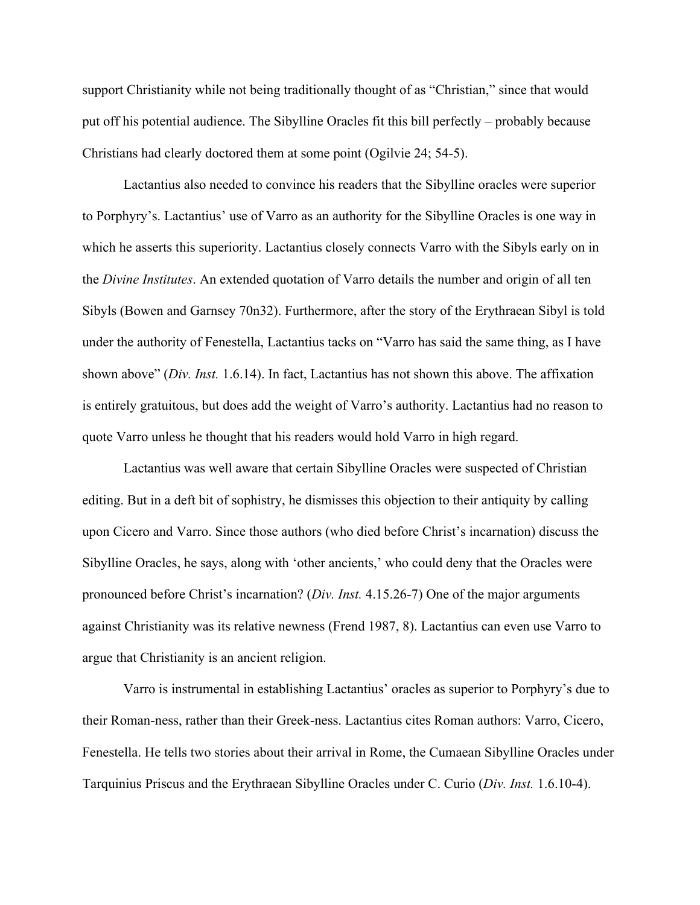support Christianity while not being traditionally thought of as "Christian," since that would put off his potential audience. The Sibylline Oracles fit this bill perfectly – probably because Christians had clearly doctored them at some point (Ogilvie 24; 54-5).

Lactantius also needed to convince his readers that the Sibylline oracles were superior to Porphyry's. Lactantius' use of Varro as an authority for the Sibylline Oracles is one way in which he asserts this superiority. Lactantius closely connects Varro with the Sibyls early on in the *Divine Institutes*. An extended quotation of Varro details the number and origin of all ten Sibyls (Bowen and Garnsey 70n32). Furthermore, after the story of the Erythraean Sibyl is told under the authority of Fenestella, Lactantius tacks on "Varro has said the same thing, as I have shown above" (*Div. Inst.* 1.6.14). In fact, Lactantius has not shown this above. The affixation is entirely gratuitous, but does add the weight of Varro's authority. Lactantius had no reason to quote Varro unless he thought that his readers would hold Varro in high regard.

Lactantius was well aware that certain Sibylline Oracles were suspected of Christian editing. But in a deft bit of sophistry, he dismisses this objection to their antiquity by calling upon Cicero and Varro. Since those authors (who died before Christ's incarnation) discuss the Sibylline Oracles, he says, along with 'other ancients,' who could deny that the Oracles were pronounced before Christ's incarnation? (*Div. Inst.* 4.15.26-7) One of the major arguments against Christianity was its relative newness (Frend 1987, 8). Lactantius can even use Varro to argue that Christianity is an ancient religion.

Varro is instrumental in establishing Lactantius' oracles as superior to Porphyry's due to their Roman-ness, rather than their Greek-ness. Lactantius cites Roman authors: Varro, Cicero, Fenestella. He tells two stories about their arrival in Rome, the Cumaean Sibylline Oracles under Tarquinius Priscus and the Erythraean Sibylline Oracles under C. Curio (*Div. Inst.* 1.6.10-4).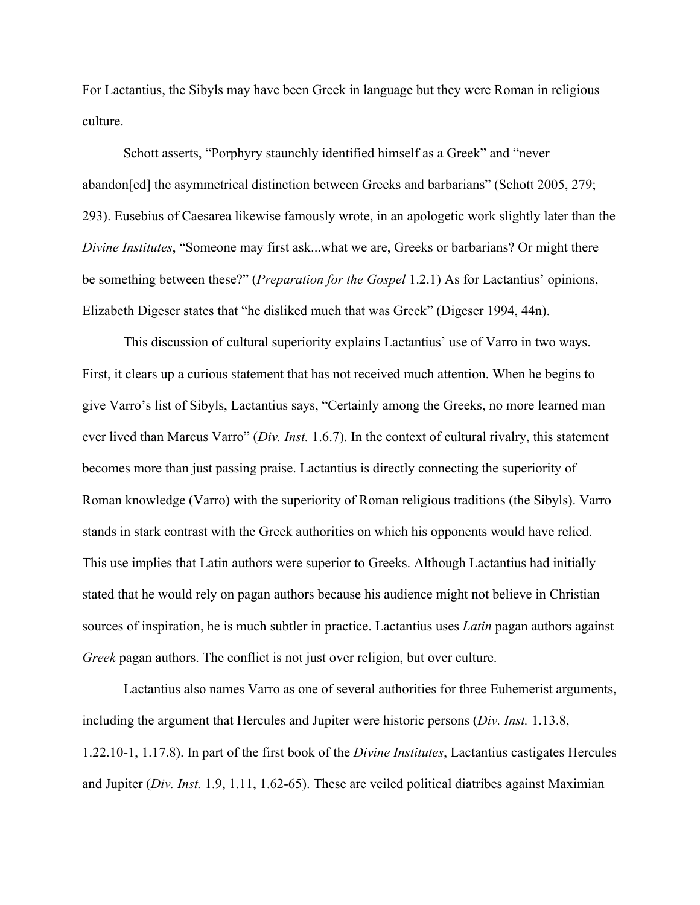For Lactantius, the Sibyls may have been Greek in language but they were Roman in religious culture.

Schott asserts, "Porphyry staunchly identified himself as a Greek" and "never abandon[ed] the asymmetrical distinction between Greeks and barbarians" (Schott 2005, 279; 293). Eusebius of Caesarea likewise famously wrote, in an apologetic work slightly later than the *Divine Institutes*, "Someone may first ask...what we are, Greeks or barbarians? Or might there be something between these?" (*Preparation for the Gospel* 1.2.1) As for Lactantius' opinions, Elizabeth Digeser states that "he disliked much that was Greek" (Digeser 1994, 44n).

This discussion of cultural superiority explains Lactantius' use of Varro in two ways. First, it clears up a curious statement that has not received much attention. When he begins to give Varro's list of Sibyls, Lactantius says, "Certainly among the Greeks, no more learned man ever lived than Marcus Varro" (*Div. Inst.* 1.6.7). In the context of cultural rivalry, this statement becomes more than just passing praise. Lactantius is directly connecting the superiority of Roman knowledge (Varro) with the superiority of Roman religious traditions (the Sibyls). Varro stands in stark contrast with the Greek authorities on which his opponents would have relied. This use implies that Latin authors were superior to Greeks. Although Lactantius had initially stated that he would rely on pagan authors because his audience might not believe in Christian sources of inspiration, he is much subtler in practice. Lactantius uses *Latin* pagan authors against *Greek* pagan authors. The conflict is not just over religion, but over culture.

Lactantius also names Varro as one of several authorities for three Euhemerist arguments, including the argument that Hercules and Jupiter were historic persons (*Div. Inst.* 1.13.8, 1.22.10-1, 1.17.8). In part of the first book of the *Divine Institutes*, Lactantius castigates Hercules and Jupiter (*Div. Inst.* 1.9, 1.11, 1.62-65). These are veiled political diatribes against Maximian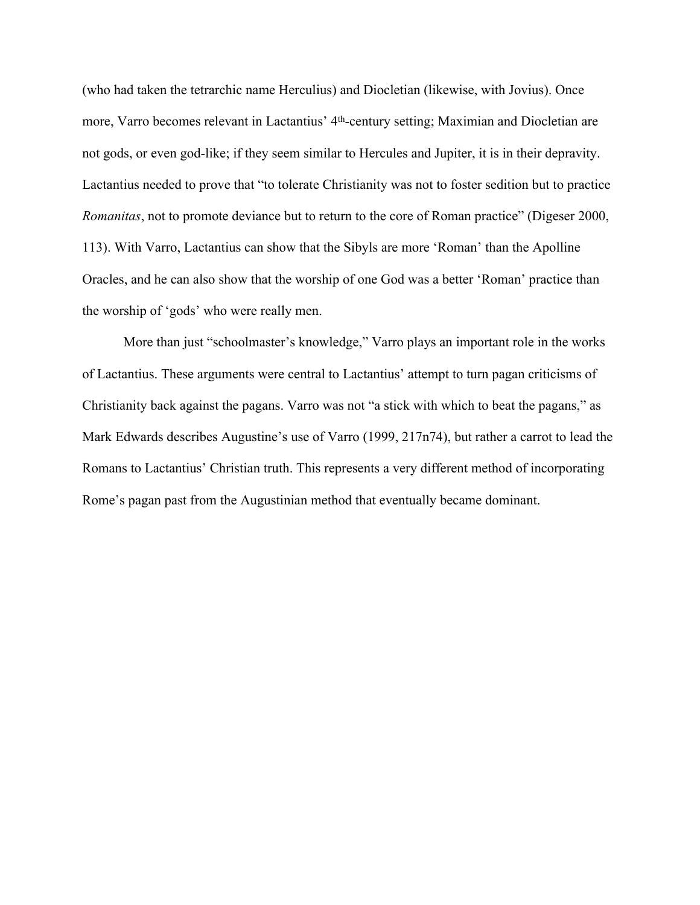(who had taken the tetrarchic name Herculius) and Diocletian (likewise, with Jovius). Once more, Varro becomes relevant in Lactantius' 4<sup>th</sup>-century setting; Maximian and Diocletian are not gods, or even god-like; if they seem similar to Hercules and Jupiter, it is in their depravity. Lactantius needed to prove that "to tolerate Christianity was not to foster sedition but to practice *Romanitas*, not to promote deviance but to return to the core of Roman practice" (Digeser 2000, 113). With Varro, Lactantius can show that the Sibyls are more 'Roman' than the Apolline Oracles, and he can also show that the worship of one God was a better 'Roman' practice than the worship of 'gods' who were really men.

More than just "schoolmaster's knowledge," Varro plays an important role in the works of Lactantius. These arguments were central to Lactantius' attempt to turn pagan criticisms of Christianity back against the pagans. Varro was not "a stick with which to beat the pagans," as Mark Edwards describes Augustine's use of Varro (1999, 217n74), but rather a carrot to lead the Romans to Lactantius' Christian truth. This represents a very different method of incorporating Rome's pagan past from the Augustinian method that eventually became dominant.